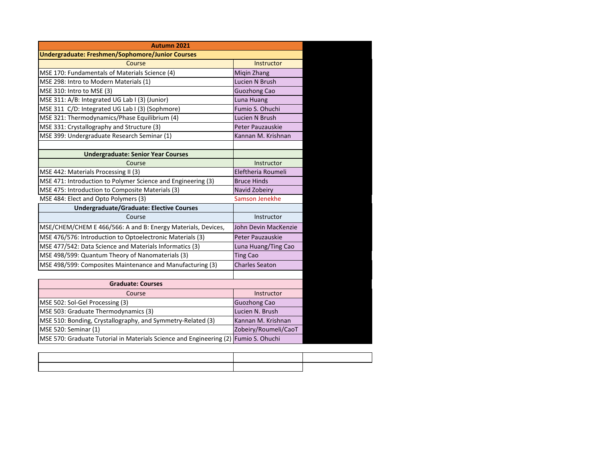| Autumn 2021                                                                         |                       |  |  |
|-------------------------------------------------------------------------------------|-----------------------|--|--|
| <b>Undergraduate: Freshmen/Sophomore/Junior Courses</b>                             |                       |  |  |
| Course                                                                              | Instructor            |  |  |
| MSE 170: Fundamentals of Materials Science (4)                                      | Migin Zhang           |  |  |
| MSE 298: Intro to Modern Materials (1)                                              | Lucien N Brush        |  |  |
| MSE 310: Intro to MSE (3)                                                           | <b>Guozhong Cao</b>   |  |  |
| MSE 311: A/B: Integrated UG Lab I (3) (Junior)                                      | Luna Huang            |  |  |
| MSE 311 C/D: Integrated UG Lab I (3) (Sophmore)                                     | Fumio S. Ohuchi       |  |  |
| MSE 321: Thermodynamics/Phase Equilibrium (4)                                       | Lucien N Brush        |  |  |
| MSE 331: Crystallography and Structure (3)                                          | Peter Pauzauskie      |  |  |
| MSE 399: Undergraduate Research Seminar (1)                                         | Kannan M. Krishnan    |  |  |
|                                                                                     |                       |  |  |
| <b>Undergraduate: Senior Year Courses</b>                                           |                       |  |  |
| Course                                                                              | Instructor            |  |  |
| MSE 442: Materials Processing II (3)                                                | Eleftheria Roumeli    |  |  |
| MSE 471: Introduction to Polymer Science and Engineering (3)                        | <b>Bruce Hinds</b>    |  |  |
| MSE 475: Introduction to Composite Materials (3)                                    | Navid Zobeiry         |  |  |
| MSE 484: Elect and Opto Polymers (3)                                                | Samson Jenekhe        |  |  |
| <b>Undergraduate/Graduate: Elective Courses</b>                                     |                       |  |  |
| Course                                                                              | Instructor            |  |  |
| MSE/CHEM/CHEM E 466/566: A and B: Energy Materials, Devices,                        | John Devin MacKenzie  |  |  |
| MSE 476/576: Introduction to Optoelectronic Materials (3)                           | Peter Pauzauskie      |  |  |
| MSE 477/542: Data Science and Materials Informatics (3)                             | Luna Huang/Ting Cao   |  |  |
| MSE 498/599: Quantum Theory of Nanomaterials (3)                                    | <b>Ting Cao</b>       |  |  |
| MSE 498/599: Composites Maintenance and Manufacturing (3)                           | <b>Charles Seaton</b> |  |  |
|                                                                                     |                       |  |  |
| <b>Graduate: Courses</b>                                                            |                       |  |  |
| Course                                                                              | Instructor            |  |  |
| MSE 502: Sol-Gel Processing (3)                                                     | <b>Guozhong Cao</b>   |  |  |
| MSE 503: Graduate Thermodynamics (3)                                                | Lucien N. Brush       |  |  |
| MSE 510: Bonding, Crystallography, and Symmetry-Related (3)                         | Kannan M. Krishnan    |  |  |
| MSE 520: Seminar (1)                                                                | Zobeiry/Roumeli/CaoT  |  |  |
| MSE 570: Graduate Tutorial in Materials Science and Engineering (2) Fumio S. Ohuchi |                       |  |  |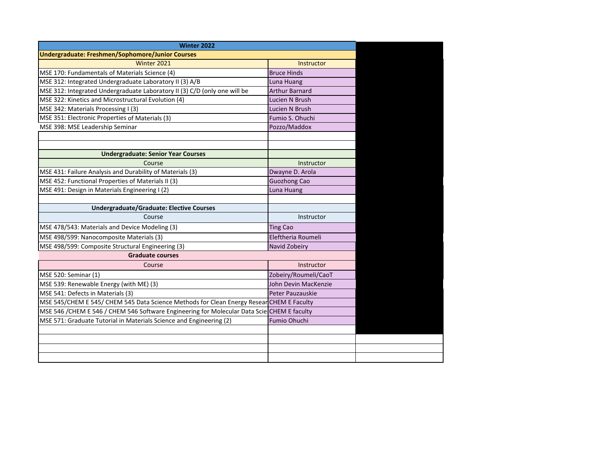| <b>Winter 2022</b>                                                                         |                         |  |
|--------------------------------------------------------------------------------------------|-------------------------|--|
| Undergraduate: Freshmen/Sophomore/Junior Courses                                           |                         |  |
| Winter 2021                                                                                | Instructor              |  |
| MSE 170: Fundamentals of Materials Science (4)                                             | <b>Bruce Hinds</b>      |  |
| MSE 312: Integrated Undergraduate Laboratory II (3) A/B                                    | Luna Huang              |  |
| MSE 312: Integrated Undergraduate Laboratory II (3) C/D (only one will be                  | <b>Arthur Barnard</b>   |  |
| MSE 322: Kinetics and Microstructural Evolution (4)                                        | Lucien N Brush          |  |
| MSE 342: Materials Processing I (3)                                                        | Lucien N Brush          |  |
| MSE 351: Electronic Properties of Materials (3)                                            | Fumio S. Ohuchi         |  |
| MSE 398: MSE Leadership Seminar                                                            | Pozzo/Maddox            |  |
|                                                                                            |                         |  |
|                                                                                            |                         |  |
| <b>Undergraduate: Senior Year Courses</b>                                                  |                         |  |
| Course                                                                                     | Instructor              |  |
| MSE 431: Failure Analysis and Durability of Materials (3)                                  | Dwayne D. Arola         |  |
| MSE 452: Functional Properties of Materials II (3)                                         | <b>Guozhong Cao</b>     |  |
| MSE 491: Design in Materials Engineering I (2)                                             | Luna Huang              |  |
|                                                                                            |                         |  |
| <b>Undergraduate/Graduate: Elective Courses</b>                                            |                         |  |
| Course                                                                                     | Instructor              |  |
| MSE 478/543: Materials and Device Modeling (3)                                             | <b>Ting Cao</b>         |  |
| MSE 498/599: Nanocomposite Materials (3)                                                   | Eleftheria Roumeli      |  |
| MSE 498/599: Composite Structural Engineering (3)                                          | Navid Zobeiry           |  |
| <b>Graduate courses</b>                                                                    |                         |  |
| Course                                                                                     | Instructor              |  |
| MSE 520: Seminar (1)                                                                       | Zobeiry/Roumeli/CaoT    |  |
| MSE 539: Renewable Energy (with ME) (3)                                                    | John Devin MacKenzie    |  |
| MSE 541: Defects in Materials (3)                                                          | <b>Peter Pauzauskie</b> |  |
| MSE 545/CHEM E 545/ CHEM 545 Data Science Methods for Clean Energy Resear CHEM E Faculty   |                         |  |
| MSE 546 /CHEM E 546 / CHEM 546 Software Engineering for Molecular Data Scie CHEM E faculty |                         |  |
| MSE 571: Graduate Tutorial in Materials Science and Engineering (2)                        | Fumio Ohuchi            |  |
|                                                                                            |                         |  |
|                                                                                            |                         |  |
|                                                                                            |                         |  |
|                                                                                            |                         |  |
|                                                                                            |                         |  |